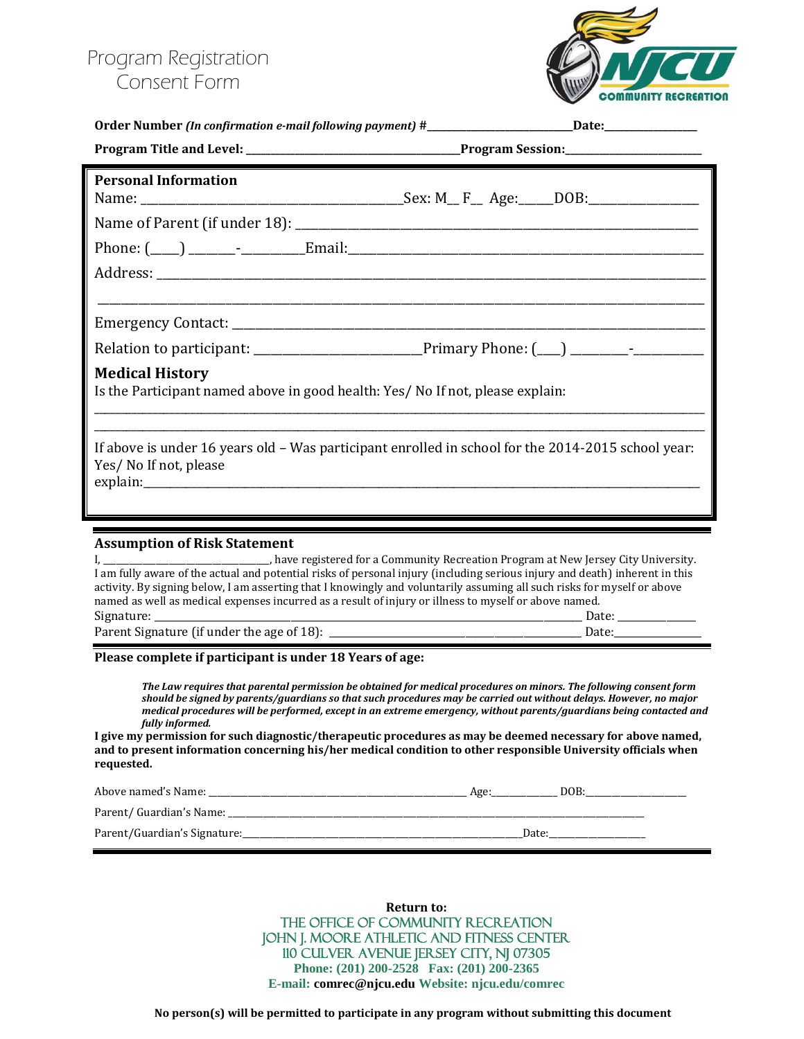## Program Registration Consent Form



|                                                                                                                                                                                                                                                                                                                                                                                                                                                                                                                                                                                                                                                                                               | Order Number (In confirmation e-mail following payment) #_______________________Date:_______________ |
|-----------------------------------------------------------------------------------------------------------------------------------------------------------------------------------------------------------------------------------------------------------------------------------------------------------------------------------------------------------------------------------------------------------------------------------------------------------------------------------------------------------------------------------------------------------------------------------------------------------------------------------------------------------------------------------------------|------------------------------------------------------------------------------------------------------|
|                                                                                                                                                                                                                                                                                                                                                                                                                                                                                                                                                                                                                                                                                               |                                                                                                      |
| <b>Personal Information</b>                                                                                                                                                                                                                                                                                                                                                                                                                                                                                                                                                                                                                                                                   |                                                                                                      |
|                                                                                                                                                                                                                                                                                                                                                                                                                                                                                                                                                                                                                                                                                               |                                                                                                      |
|                                                                                                                                                                                                                                                                                                                                                                                                                                                                                                                                                                                                                                                                                               |                                                                                                      |
|                                                                                                                                                                                                                                                                                                                                                                                                                                                                                                                                                                                                                                                                                               |                                                                                                      |
|                                                                                                                                                                                                                                                                                                                                                                                                                                                                                                                                                                                                                                                                                               |                                                                                                      |
|                                                                                                                                                                                                                                                                                                                                                                                                                                                                                                                                                                                                                                                                                               | Relation to participant: _________________________________Primary Phone: (___) _________-            |
| <b>Medical History</b><br>Is the Participant named above in good health: Yes/ No If not, please explain:                                                                                                                                                                                                                                                                                                                                                                                                                                                                                                                                                                                      |                                                                                                      |
| If above is under 16 years old - Was participant enrolled in school for the 2014-2015 school year:<br>Yes/ No If not, please                                                                                                                                                                                                                                                                                                                                                                                                                                                                                                                                                                  |                                                                                                      |
| <b>Assumption of Risk Statement</b><br>I, ________________________________, have registered for a Community Recreation Program at New Jersey City University.<br>I am fully aware of the actual and potential risks of personal injury (including serious injury and death) inherent in this<br>activity. By signing below, I am asserting that I knowingly and voluntarily assuming all such risks for myself or above<br>named as well as medical expenses incurred as a result of injury or illness to myself or above named.<br>Signature: __________                                                                                                                                     |                                                                                                      |
| Please complete if participant is under 18 Years of age:<br>The Law requires that parental permission be obtained for medical procedures on minors. The following consent form<br>should be signed by parents/guardians so that such procedures may be carried out without delays. However, no major<br>medical procedures will be performed, except in an extreme emergency, without parents/guardians being contacted and<br>fully informed.<br>I give my permission for such diagnostic/therapeutic procedures as may be deemed necessary for above named,<br>and to present information concerning his/her medical condition to other responsible University officials when<br>requested. |                                                                                                      |
|                                                                                                                                                                                                                                                                                                                                                                                                                                                                                                                                                                                                                                                                                               |                                                                                                      |
|                                                                                                                                                                                                                                                                                                                                                                                                                                                                                                                                                                                                                                                                                               |                                                                                                      |
|                                                                                                                                                                                                                                                                                                                                                                                                                                                                                                                                                                                                                                                                                               |                                                                                                      |

**Return to:** THE OFFICE OF COMMUNITY RECREATION John j. Moore Athletic and Fitness Center 110 Culver Avenue Jersey City, NJ 07305 **Phone: (201) 200-2528 Fax: (201) 200-2365 E-mail: comrec@njcu.edu Website: njcu.edu/comrec**

**No person(s) will be permitted to participate in any program without submitting this document**